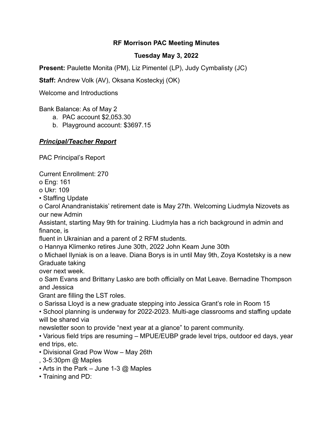### **RF Morrison PAC Meeting Minutes**

## **Tuesday May 3, 2022**

**Present:** Paulette Monita (PM), Liz Pimentel (LP), Judy Cymbalisty (JC)

**Staff:** Andrew Volk (AV), Oksana Kosteckyj (OK)

Welcome and Introductions

Bank Balance: As of May 2

- a. PAC account \$2,053.30
- b. Playground account: \$3697.15

# *Principal/Teacher Report*

PAC Principal's Report

Current Enrollment: 270

o Eng: 161

o Ukr: 109

• Staffing Update

o Carol Anandranistakis' retirement date is May 27th. Welcoming Liudmyla Nizovets as our new Admin

Assistant, starting May 9th for training. Liudmyla has a rich background in admin and finance, is

fluent in Ukrainian and a parent of 2 RFM students.

o Hannya Klimenko retires June 30th, 2022 John Keam June 30th

o Michael Ilyniak is on a leave. Diana Borys is in until May 9th, Zoya Kostetsky is a new Graduate taking

over next week.

o Sam Evans and Brittany Lasko are both officially on Mat Leave. Bernadine Thompson and Jessica

Grant are filling the LST roles.

o Sarissa Lloyd is a new graduate stepping into Jessica Grant's role in Room 15

• School planning is underway for 2022-2023. Multi-age classrooms and staffing update will be shared via

newsletter soon to provide "next year at a glance" to parent community.

• Various field trips are resuming – MPUE/EUBP grade level trips, outdoor ed days, year end trips, etc.

• Divisional Grad Pow Wow – May 26th

- , 3-5:30pm @ Maples
- Arts in the Park June 1-3  $@$  Maples
- Training and PD: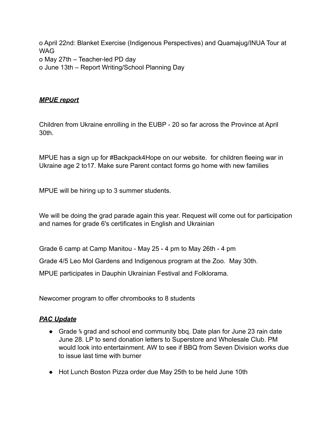o April 22nd: Blanket Exercise (Indigenous Perspectives) and Quamajug/INUA Tour at WAG o May 27th – Teacher-led PD day o June 13th – Report Writing/School Planning Day

### *MPUE report*

Children from Ukraine enrolling in the EUBP - 20 so far across the Province at April 30th.

MPUE has a sign up for #Backpack4Hope on our website. for children fleeing war in Ukraine age 2 to17. Make sure Parent contact forms go home with new families

MPUE will be hiring up to 3 summer students.

We will be doing the grad parade again this year. Request will come out for participation and names for grade 6's certificates in English and Ukrainian

Grade 6 camp at Camp Manitou - May 25 - 4 pm to May 26th - 4 pm

Grade 4/5 Leo Mol Gardens and Indigenous program at the Zoo. May 30th.

MPUE participates in Dauphin Ukrainian Festival and Folklorama.

Newcomer program to offer chrombooks to 8 students

#### *PAC Update*

- Grade % grad and school end community bbq. Date plan for June 23 rain date June 28. LP to send donation letters to Superstore and Wholesale Club. PM would look into entertainment. AW to see if BBQ from Seven Division works due to issue last time with burner
- Hot Lunch Boston Pizza order due May 25th to be held June 10th